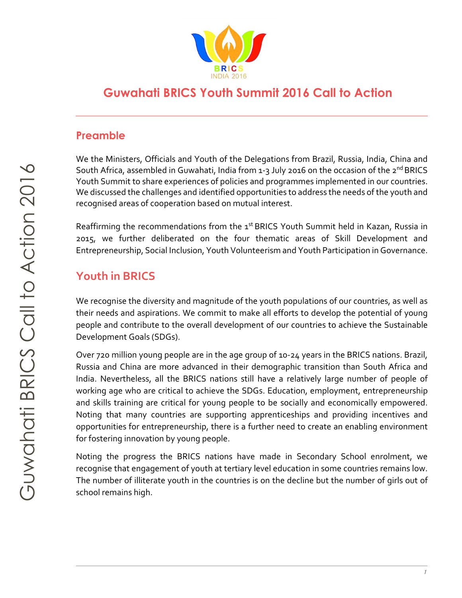

# **Guwahati BRICS Youth Summit 2016 Call to Action**

### **Preamble**

We the Ministers, Officials and Youth of the Delegations from Brazil, Russia, India, China and South Africa, assembled in Guwahati, India from 1-3 July 2016 on the occasion of the 2<sup>nd</sup> BRICS Youth Summit to share experiences of policies and programmes implemented in our countries. We discussed the challenges and identified opportunities to address the needs of the youth and recognised areas of cooperation based on mutual interest.

Reaffirming the recommendations from the 1<sup>st</sup> BRICS Youth Summit held in Kazan, Russia in 2015, we further deliberated on the four thematic areas of Skill Development and Entrepreneurship, Social Inclusion, Youth Volunteerism and Youth Participation in Governance.

# **Youth in BRICS**

We recognise the diversity and magnitude of the youth populations of our countries, as well as their needs and aspirations. We commit to make all efforts to develop the potential of young people and contribute to the overall development of our countries to achieve the Sustainable Development Goals (SDGs).

Over 720 million young people are in the age group of 10-24 years in the BRICS nations. Brazil, Russia and China are more advanced in their demographic transition than South Africa and India. Nevertheless, all the BRICS nations still have a relatively large number of people of working age who are critical to achieve the SDGs. Education, employment, entrepreneurship and skills training are critical for young people to be socially and economically empowered. Noting that many countries are supporting apprenticeships and providing incentives and opportunities for entrepreneurship, there is a further need to create an enabling environment for fostering innovation by young people.

Noting the progress the BRICS nations have made in Secondary School enrolment, we recognise that engagement of youth at tertiary level education in some countries remains low. The number of illiterate youth in the countries is on the decline but the number of girls out of school remains high.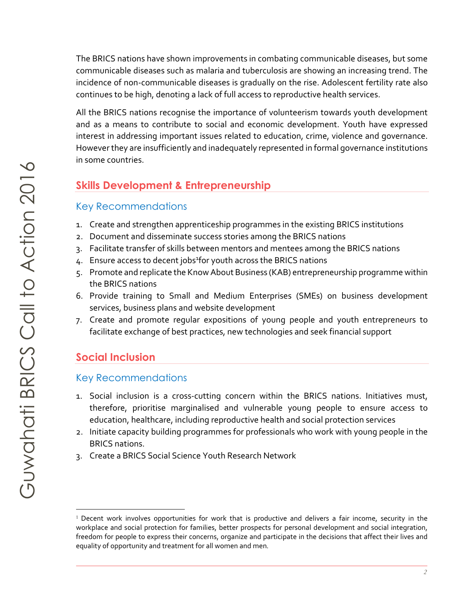The BRICS nations have shown improvements in combating communicable diseases, but some communicable diseases such as malaria and tuberculosis are showing an increasing trend. The incidence of non-communicable diseases is gradually on the rise. Adolescent fertility rate also continues to be high, denoting a lack of full access to reproductive health services.

All the BRICS nations recognise the importance of volunteerism towards youth development and as a means to contribute to social and economic development. Youth have expressed interest in addressing important issues related to education, crime, violence and governance. However they are insufficiently and inadequately represented in formal governance institutions in some countries.

### **Skills Development & Entrepreneurship**

#### Key Recommendations

- 1. Create and strengthen apprenticeship programmes in the existing BRICS institutions
- 2. Document and disseminate success stories among the BRICS nations
- 3. Facilitate transfer of skills between mentors and mentees among the BRICS nations
- 4. Ensure access to decent jobs<sup>1</sup>for youth across the BRICS nations
- 5. Promote and replicate the Know About Business (KAB) entrepreneurship programme within the BRICS nations
- 6. Provide training to Small and Medium Enterprises (SMEs) on business development services, business plans and website development
- 7. Create and promote regular expositions of young people and youth entrepreneurs to facilitate exchange of best practices, new technologies and seek financial support

# **Social Inclusion**

l.

#### Key Recommendations

- 1. Social inclusion is a cross-cutting concern within the BRICS nations. Initiatives must, therefore, prioritise marginalised and vulnerable young people to ensure access to education, healthcare, including reproductive health and social protection services
- 2. Initiate capacity building programmes for professionals who work with young people in the BRICS nations.
- 3. Create a BRICS Social Science Youth Research Network

<sup>&</sup>lt;sup>1</sup> Decent work involves opportunities for work that is productive and delivers a fair income, security in the workplace and social protection for families, better prospects for personal development and social integration, freedom for people to express their concerns, organize and participate in the decisions that affect their lives and equality of opportunity and treatment for all women and men.